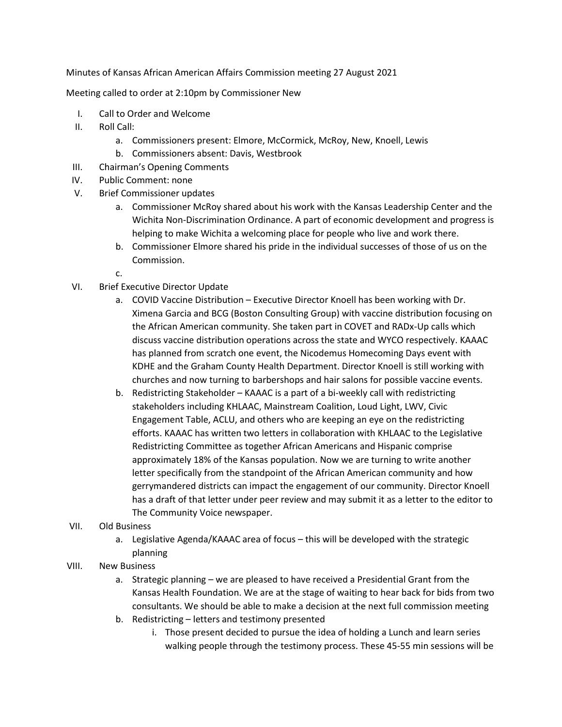Minutes of Kansas African American Affairs Commission meeting 27 August 2021

Meeting called to order at 2:10pm by Commissioner New

- I. Call to Order and Welcome
- II. Roll Call:
	- a. Commissioners present: Elmore, McCormick, McRoy, New, Knoell, Lewis
	- b. Commissioners absent: Davis, Westbrook
- III. Chairman's Opening Comments
- IV. Public Comment: none
- V. Brief Commissioner updates
	- a. Commissioner McRoy shared about his work with the Kansas Leadership Center and the Wichita Non-Discrimination Ordinance. A part of economic development and progress is helping to make Wichita a welcoming place for people who live and work there.
	- b. Commissioner Elmore shared his pride in the individual successes of those of us on the Commission.
	- c.
- VI. Brief Executive Director Update
	- a. COVID Vaccine Distribution Executive Director Knoell has been working with Dr. Ximena Garcia and BCG (Boston Consulting Group) with vaccine distribution focusing on the African American community. She taken part in COVET and RADx-Up calls which discuss vaccine distribution operations across the state and WYCO respectively. KAAAC has planned from scratch one event, the Nicodemus Homecoming Days event with KDHE and the Graham County Health Department. Director Knoell is still working with churches and now turning to barbershops and hair salons for possible vaccine events.
	- b. Redistricting Stakeholder KAAAC is a part of a bi-weekly call with redistricting stakeholders including KHLAAC, Mainstream Coalition, Loud Light, LWV, Civic Engagement Table, ACLU, and others who are keeping an eye on the redistricting efforts. KAAAC has written two letters in collaboration with KHLAAC to the Legislative Redistricting Committee as together African Americans and Hispanic comprise approximately 18% of the Kansas population. Now we are turning to write another letter specifically from the standpoint of the African American community and how gerrymandered districts can impact the engagement of our community. Director Knoell has a draft of that letter under peer review and may submit it as a letter to the editor to The Community Voice newspaper.
- VII. Old Business
	- a. Legislative Agenda/KAAAC area of focus this will be developed with the strategic planning
- VIII. New Business
	- a. Strategic planning we are pleased to have received a Presidential Grant from the Kansas Health Foundation. We are at the stage of waiting to hear back for bids from two consultants. We should be able to make a decision at the next full commission meeting
	- b. Redistricting letters and testimony presented
		- i. Those present decided to pursue the idea of holding a Lunch and learn series walking people through the testimony process. These 45-55 min sessions will be